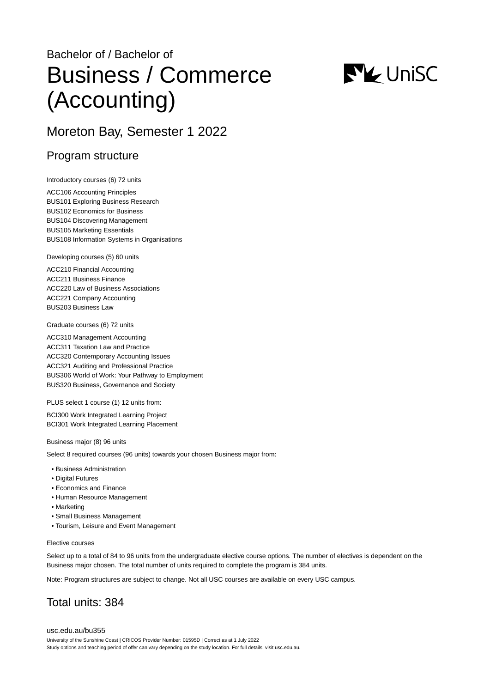# Bachelor of / Bachelor of Business / Commerce (Accounting)



# Moreton Bay, Semester 1 2022

## Program structure

Introductory courses (6) 72 units

ACC106 Accounting Principles BUS101 Exploring Business Research BUS102 Economics for Business BUS104 Discovering Management BUS105 Marketing Essentials BUS108 Information Systems in Organisations

Developing courses (5) 60 units

ACC210 Financial Accounting ACC211 Business Finance ACC220 Law of Business Associations ACC221 Company Accounting BUS203 Business Law

Graduate courses (6) 72 units

ACC310 Management Accounting ACC311 Taxation Law and Practice ACC320 Contemporary Accounting Issues ACC321 Auditing and Professional Practice BUS306 World of Work: Your Pathway to Employment BUS320 Business, Governance and Society

PLUS select 1 course (1) 12 units from:

BCI300 Work Integrated Learning Project BCI301 Work Integrated Learning Placement

Business major (8) 96 units

Select 8 required courses (96 units) towards your chosen Business major from:

- Business Administration
- Digital Futures
- Economics and Finance
- Human Resource Management
- Marketing
- Small Business Management
- Tourism, Leisure and Event Management

#### Elective courses

Select up to a total of 84 to 96 units from the undergraduate elective course options. The number of electives is dependent on the Business major chosen. The total number of units required to complete the program is 384 units.

Note: Program structures are subject to change. Not all USC courses are available on every USC campus.

# Total units: 384

[usc.edu.au/bu355](https://www.usc.edu.au/bu355) University of the Sunshine Coast | CRICOS Provider Number: 01595D | Correct as at 1 July 2022 Study options and teaching period of offer can vary depending on the study location. For full details, visit usc.edu.au.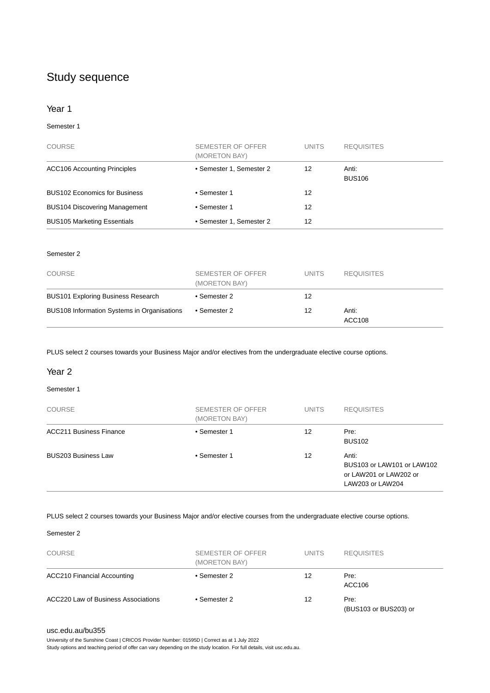# Study sequence

#### Year 1

#### Semester 1

| <b>COURSE</b>                        | SEMESTER OF OFFER<br>(MORETON BAY) | <b>UNITS</b> | <b>REQUISITES</b>      |
|--------------------------------------|------------------------------------|--------------|------------------------|
| <b>ACC106 Accounting Principles</b>  | • Semester 1, Semester 2           | 12           | Anti:<br><b>BUS106</b> |
| <b>BUS102 Economics for Business</b> | • Semester 1                       | 12           |                        |
| <b>BUS104 Discovering Management</b> | • Semester 1                       | 12           |                        |
| <b>BUS105 Marketing Essentials</b>   | • Semester 1, Semester 2           | 12           |                        |

#### Semester 2

| <b>COURSE</b>                               | SEMESTER OF OFFER<br>(MORETON BAY) | <b>UNITS</b> | <b>REQUISITES</b> |
|---------------------------------------------|------------------------------------|--------------|-------------------|
| <b>BUS101 Exploring Business Research</b>   | • Semester 2                       | 12           |                   |
| BUS108 Information Systems in Organisations | • Semester 2                       | 12           | Anti:<br>ACC108   |

PLUS select 2 courses towards your Business Major and/or electives from the undergraduate elective course options.

#### Year 2

#### Semester 1

| <b>COURSE</b>                  | SEMESTER OF OFFER<br>(MORETON BAY) | <b>UNITS</b> | <b>REQUISITES</b>                                                                 |
|--------------------------------|------------------------------------|--------------|-----------------------------------------------------------------------------------|
| <b>ACC211 Business Finance</b> | • Semester 1                       | 12           | Pre:<br><b>BUS102</b>                                                             |
| <b>BUS203 Business Law</b>     | • Semester 1                       | 12           | Anti:<br>BUS103 or LAW101 or LAW102<br>or LAW201 or LAW202 or<br>LAW203 or LAW204 |

#### PLUS select 2 courses towards your Business Major and/or elective courses from the undergraduate elective course options.

#### Semester 2

| <b>COURSE</b>                       | SEMESTER OF OFFER<br>(MORETON BAY) | <b>UNITS</b> | <b>REQUISITES</b>             |
|-------------------------------------|------------------------------------|--------------|-------------------------------|
| <b>ACC210 Financial Accounting</b>  | • Semester 2                       | 12           | Pre:<br>ACC106                |
| ACC220 Law of Business Associations | • Semester 2                       | 12           | Pre:<br>(BUS103 or BUS203) or |

#### [usc.edu.au/bu355](https://www.usc.edu.au/bu355)

University of the Sunshine Coast | CRICOS Provider Number: 01595D | Correct as at 1 July 2022 Study options and teaching period of offer can vary depending on the study location. For full details, visit usc.edu.au.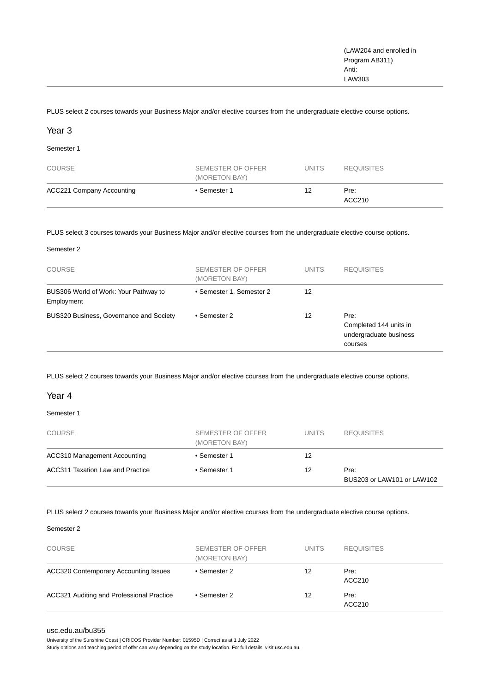PLUS select 2 courses towards your Business Major and/or elective courses from the undergraduate elective course options.

#### Year 3

Semester 1

| <b>COURSE</b>                    | SEMESTER OF OFFER<br>(MORETON BAY) | <b>UNITS</b> | <b>REQUISITES</b> |
|----------------------------------|------------------------------------|--------------|-------------------|
| <b>ACC221 Company Accounting</b> | • Semester 1                       | 12           | Pre:<br>ACC210    |

PLUS select 3 courses towards your Business Major and/or elective courses from the undergraduate elective course options.

| <b>COURSE</b>                                       | SEMESTER OF OFFER<br>(MORETON BAY) | <b>UNITS</b> | <b>REQUISITES</b>                                                   |
|-----------------------------------------------------|------------------------------------|--------------|---------------------------------------------------------------------|
| BUS306 World of Work: Your Pathway to<br>Employment | • Semester 1, Semester 2           | 12           |                                                                     |
| BUS320 Business, Governance and Society             | • Semester 2                       | 12           | Pre:<br>Completed 144 units in<br>undergraduate business<br>courses |

PLUS select 2 courses towards your Business Major and/or elective courses from the undergraduate elective course options.

#### Year 4

Semester 1

| <b>COURSE</b>                    | SEMESTER OF OFFER<br>(MORETON BAY) | <b>UNITS</b> | <b>REQUISITES</b>                  |
|----------------------------------|------------------------------------|--------------|------------------------------------|
| ACC310 Management Accounting     | • Semester 1                       | 12           |                                    |
| ACC311 Taxation Law and Practice | • Semester 1                       | 12           | Pre:<br>BUS203 or LAW101 or LAW102 |

PLUS select 2 courses towards your Business Major and/or elective courses from the undergraduate elective course options.

#### Semester 2

| <b>COURSE</b>                                | SEMESTER OF OFFER<br>(MORETON BAY) | <b>UNITS</b> | <b>REQUISITES</b> |
|----------------------------------------------|------------------------------------|--------------|-------------------|
| <b>ACC320 Contemporary Accounting Issues</b> | • Semester 2                       | 12           | Pre:<br>ACC210    |
| ACC321 Auditing and Professional Practice    | • Semester 2                       | 12           | Pre:<br>ACC210    |

#### [usc.edu.au/bu355](https://www.usc.edu.au/bu355)

University of the Sunshine Coast | CRICOS Provider Number: 01595D | Correct as at 1 July 2022

Study options and teaching period of offer can vary depending on the study location. For full details, visit usc.edu.au.